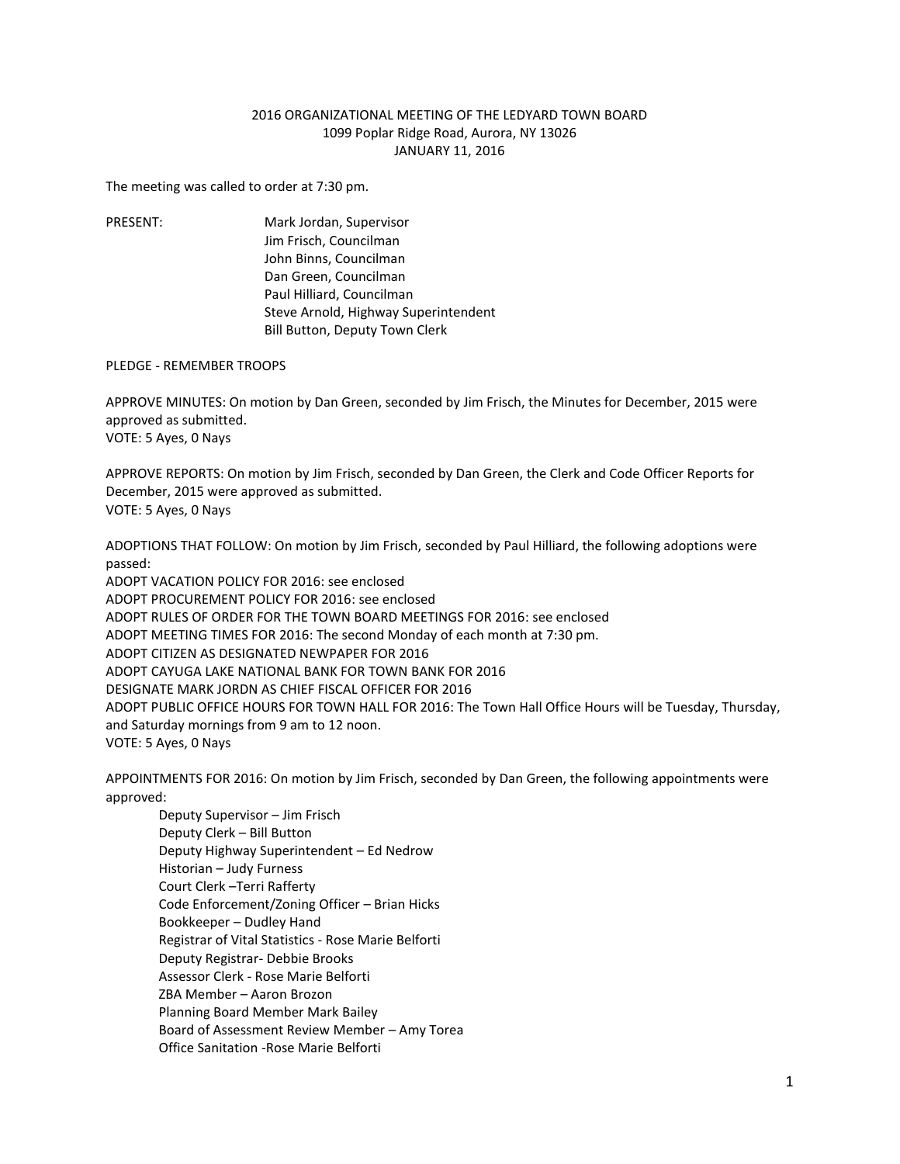## 2016 ORGANIZATIONAL MEETING OF THE LEDYARD TOWN BOARD 1099 Poplar Ridge Road, Aurora, NY 13026 JANUARY 11, 2016

The meeting was called to order at 7:30 pm.

PRESENT: Mark Jordan, Supervisor Jim Frisch, Councilman John Binns, Councilman Dan Green, Councilman Paul Hilliard, Councilman Steve Arnold, Highway Superintendent Bill Button, Deputy Town Clerk

## PLEDGE - REMEMBER TROOPS

APPROVE MINUTES: On motion by Dan Green, seconded by Jim Frisch, the Minutes for December, 2015 were approved as submitted. VOTE: 5 Ayes, 0 Nays

APPROVE REPORTS: On motion by Jim Frisch, seconded by Dan Green, the Clerk and Code Officer Reports for December, 2015 were approved as submitted. VOTE: 5 Ayes, 0 Nays

ADOPTIONS THAT FOLLOW: On motion by Jim Frisch, seconded by Paul Hilliard, the following adoptions were passed:

ADOPT VACATION POLICY FOR 2016: see enclosed ADOPT PROCUREMENT POLICY FOR 2016: see enclosed ADOPT RULES OF ORDER FOR THE TOWN BOARD MEETINGS FOR 2016: see enclosed ADOPT MEETING TIMES FOR 2016: The second Monday of each month at 7:30 pm. ADOPT CITIZEN AS DESIGNATED NEWPAPER FOR 2016 ADOPT CAYUGA LAKE NATIONAL BANK FOR TOWN BANK FOR 2016 DESIGNATE MARK JORDN AS CHIEF FISCAL OFFICER FOR 2016 ADOPT PUBLIC OFFICE HOURS FOR TOWN HALL FOR 2016: The Town Hall Office Hours will be Tuesday, Thursday, and Saturday mornings from 9 am to 12 noon. VOTE: 5 Ayes, 0 Nays

APPOINTMENTS FOR 2016: On motion by Jim Frisch, seconded by Dan Green, the following appointments were approved:

Deputy Supervisor – Jim Frisch Deputy Clerk – Bill Button Deputy Highway Superintendent – Ed Nedrow Historian – Judy Furness Court Clerk –Terri Rafferty Code Enforcement/Zoning Officer – Brian Hicks Bookkeeper – Dudley Hand Registrar of Vital Statistics - Rose Marie Belforti Deputy Registrar- Debbie Brooks Assessor Clerk - Rose Marie Belforti ZBA Member – Aaron Brozon Planning Board Member Mark Bailey Board of Assessment Review Member – Amy Torea Office Sanitation -Rose Marie Belforti